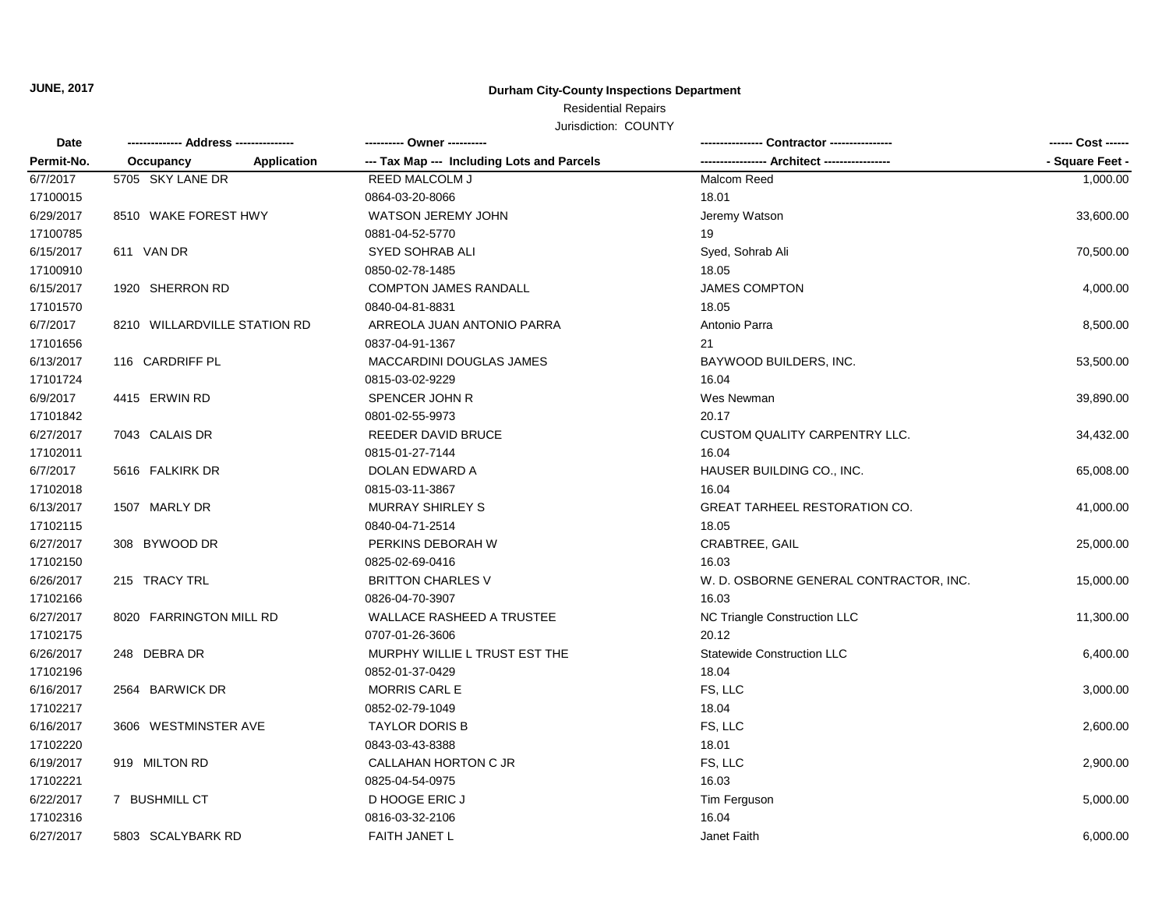**JUNE, 2017**

### **Durham City-County Inspections Department**

# Residential Repairs

Jurisdiction: COUNTY

| Date<br>Permit-No. |                              | ---------- Owner ----------                |                                        | ------ Cost ------ |
|--------------------|------------------------------|--------------------------------------------|----------------------------------------|--------------------|
|                    | Application<br>Occupancy     | --- Tax Map --- Including Lots and Parcels |                                        | - Square Feet -    |
| 6/7/2017           | 5705 SKY LANE DR             | <b>REED MALCOLM J</b>                      | Malcom Reed                            | 1,000.00           |
| 17100015           |                              | 0864-03-20-8066                            | 18.01                                  |                    |
| 6/29/2017          | 8510 WAKE FOREST HWY         | WATSON JEREMY JOHN                         | Jeremy Watson                          | 33,600.00          |
| 17100785           |                              | 0881-04-52-5770                            | 19                                     |                    |
| 6/15/2017          | 611 VAN DR                   | <b>SYED SOHRAB ALI</b>                     | Syed, Sohrab Ali                       | 70,500.00          |
| 17100910           |                              | 0850-02-78-1485                            | 18.05                                  |                    |
| 6/15/2017          | 1920 SHERRON RD              | <b>COMPTON JAMES RANDALL</b>               | <b>JAMES COMPTON</b>                   | 4,000.00           |
| 17101570           |                              | 0840-04-81-8831                            | 18.05                                  |                    |
| 6/7/2017           | 8210 WILLARDVILLE STATION RD | ARREOLA JUAN ANTONIO PARRA                 | Antonio Parra                          | 8,500.00           |
| 17101656           |                              | 0837-04-91-1367                            | 21                                     |                    |
| 6/13/2017          | 116 CARDRIFF PL              | MACCARDINI DOUGLAS JAMES                   | BAYWOOD BUILDERS, INC.                 | 53,500.00          |
| 17101724           |                              | 0815-03-02-9229                            | 16.04                                  |                    |
| 6/9/2017           | 4415 ERWIN RD                | SPENCER JOHN R                             | Wes Newman                             | 39,890.00          |
| 17101842           |                              | 0801-02-55-9973                            | 20.17                                  |                    |
| 6/27/2017          | 7043 CALAIS DR               | REEDER DAVID BRUCE                         | <b>CUSTOM QUALITY CARPENTRY LLC.</b>   | 34,432.00          |
| 17102011           |                              | 0815-01-27-7144                            | 16.04                                  |                    |
| 6/7/2017           | 5616 FALKIRK DR              | DOLAN EDWARD A                             | HAUSER BUILDING CO., INC.              | 65,008.00          |
| 17102018           |                              | 0815-03-11-3867                            | 16.04                                  |                    |
| 6/13/2017          | 1507 MARLY DR                | <b>MURRAY SHIRLEY S</b>                    | GREAT TARHEEL RESTORATION CO.          | 41,000.00          |
| 17102115           |                              | 0840-04-71-2514                            | 18.05                                  |                    |
| 6/27/2017          | 308 BYWOOD DR                | PERKINS DEBORAH W                          | CRABTREE, GAIL                         | 25,000.00          |
| 17102150           |                              | 0825-02-69-0416                            | 16.03                                  |                    |
| 6/26/2017          | 215 TRACY TRL                | <b>BRITTON CHARLES V</b>                   | W. D. OSBORNE GENERAL CONTRACTOR, INC. | 15,000.00          |
| 17102166           |                              | 0826-04-70-3907                            | 16.03                                  |                    |
| 6/27/2017          | 8020 FARRINGTON MILL RD      | <b>WALLACE RASHEED A TRUSTEE</b>           | NC Triangle Construction LLC           | 11,300.00          |
| 17102175           |                              | 0707-01-26-3606                            | 20.12                                  |                    |
| 6/26/2017          | 248 DEBRA DR                 | MURPHY WILLIE L TRUST EST THE              | <b>Statewide Construction LLC</b>      | 6,400.00           |
| 17102196           |                              | 0852-01-37-0429                            | 18.04                                  |                    |
| 6/16/2017          | 2564 BARWICK DR              | <b>MORRIS CARL E</b>                       | FS, LLC                                | 3,000.00           |
| 17102217           |                              | 0852-02-79-1049                            | 18.04                                  |                    |
| 6/16/2017          | 3606 WESTMINSTER AVE         | <b>TAYLOR DORIS B</b>                      | FS, LLC                                | 2,600.00           |
| 17102220           |                              | 0843-03-43-8388                            | 18.01                                  |                    |
| 6/19/2017          | 919 MILTON RD                | CALLAHAN HORTON C JR                       | FS, LLC                                | 2,900.00           |
| 17102221           |                              | 0825-04-54-0975                            | 16.03                                  |                    |
| 6/22/2017          | 7 BUSHMILL CT                | D HOOGE ERIC J                             | Tim Ferguson                           | 5,000.00           |
| 17102316           |                              | 0816-03-32-2106                            | 16.04                                  |                    |
| 6/27/2017          | 5803 SCALYBARK RD            | <b>FAITH JANET L</b>                       | Janet Faith                            | 6,000.00           |